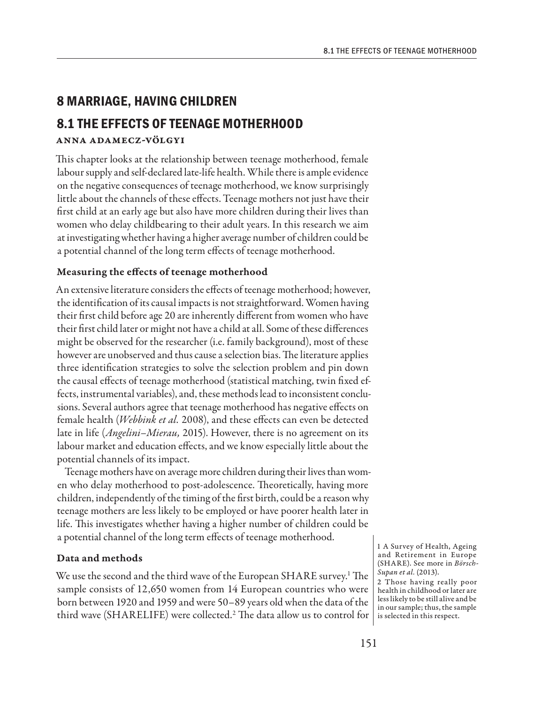# **8 MARRIAGE, HAVING CHILDREN**

## **8.1 THE EFFECTS OF TEENAGE MOTHERHOOD**

### Anna Adamecz-Völgyi

This chapter looks at the relationship between teenage motherhood, female labour supply and self-declared late-life health. While there is ample evidence on the negative consequences of teenage motherhood, we know surprisingly little about the channels of these effects. Teenage mothers not just have their first child at an early age but also have more children during their lives than women who delay childbearing to their adult years. In this research we aim at investigating whether having a higher average number of children could be a potential channel of the long term effects of teenage motherhood.

### Measuring the effects of teenage motherhood

An extensive literature considers the effects of teenage motherhood; however, the identification of its causal impacts is not straightforward. Women having their first child before age 20 are inherently different from women who have their first child later or might not have a child at all. Some of these differences might be observed for the researcher (i.e. family background), most of these however are unobserved and thus cause a selection bias. The literature applies three identification strategies to solve the selection problem and pin down the causal effects of teenage motherhood (statistical matching, twin fixed effects, instrumental variables), and, these methods lead to inconsistent conclusions. Several authors agree that teenage motherhood has negative effects on female health (*Webbink et al.* 2008), and these effects can even be detected late in life (*Angelini–Mierau,* 2015). However, there is no agreement on its labour market and education effects, and we know especially little about the potential channels of its impact.

Teenage mothers have on average more children during their lives than women who delay motherhood to post-adolescence. Theoretically, having more children, independently of the timing of the first birth, could be a reason why teenage mothers are less likely to be employed or have poorer health later in life. This investigates whether having a higher number of children could be a potential channel of the long term effects of teenage motherhood.

#### Data and methods

We use the second and the third wave of the European SHARE survey.<sup>1</sup> The sample consists of 12,650 women from 14 European countries who were born between 1920 and 1959 and were 50–89 years old when the data of the third wave (SHARELIFE) were collected.2 The data allow us to control for is selected in this respect.

1 A Survey of Health, Ageing and Retirement in Europe (SHARE). See more in *Börsch-Supan et al.* (2013).

2 Those having really poor health in childhood or later are less likely to be still alive and be in our sample; thus, the sample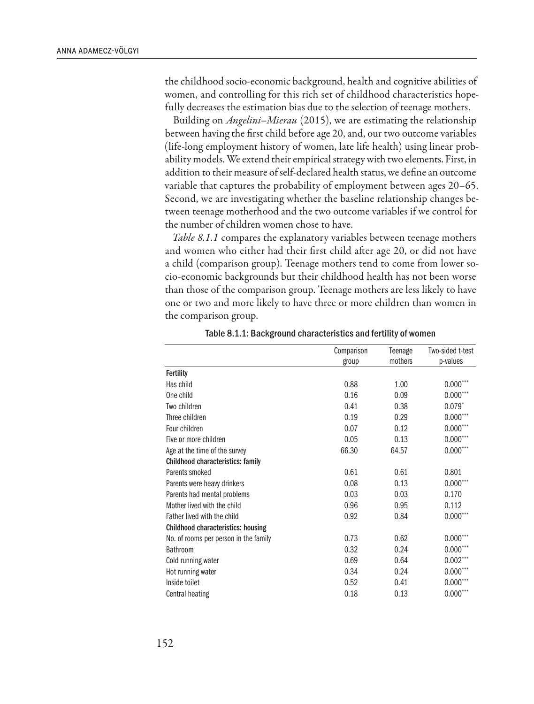the childhood socio-economic background, health and cognitive abilities of women, and controlling for this rich set of childhood characteristics hopefully decreases the estimation bias due to the selection of teenage mothers.

Building on *Angelini–Mierau* (2015), we are estimating the relationship between having the first child before age 20, and, our two outcome variables (life-long employment history of women, late life health) using linear probability models. We extend their empirical strategy with two elements. First, in addition to their measure of self-declared health status, we define an outcome variable that captures the probability of employment between ages 20–65. Second, we are investigating whether the baseline relationship changes between teenage motherhood and the two outcome variables if we control for the number of children women chose to have.

*Table 8.1.1* compares the explanatory variables between teenage mothers and women who either had their first child after age 20, or did not have a child (comparison group). Teenage mothers tend to come from lower socio-economic backgrounds but their childhood health has not been worse than those of the comparison group. Teenage mothers are less likely to have one or two and more likely to have three or more children than women in the comparison group.

|                                           | Comparison | Teenage | Two-sided t-test |
|-------------------------------------------|------------|---------|------------------|
|                                           | group      | mothers | p-values         |
| <b>Fertility</b>                          |            |         |                  |
| Has child                                 | 0.88       | 1.00    | $0.000***$       |
| One child                                 | 0.16       | 0.09    | $0.000***$       |
| Two children                              | 0.41       | 0.38    | $0.079^{*}$      |
| Three children                            | 0.19       | 0.29    | $0.000***$       |
| Four children                             | 0.07       | 0.12    | $0.000***$       |
| Five or more children                     | 0.05       | 0.13    | $0.000***$       |
| Age at the time of the survey             | 66.30      | 64.57   | $0.000***$       |
| <b>Childhood characteristics: family</b>  |            |         |                  |
| Parents smoked                            | 0.61       | 0.61    | 0.801            |
| Parents were heavy drinkers               | 0.08       | 0.13    | $0.000***$       |
| Parents had mental problems               | 0.03       | 0.03    | 0.170            |
| Mother lived with the child               | 0.96       | 0.95    | 0.112            |
| Father lived with the child               | 0.92       | 0.84    | $0.000***$       |
| <b>Childhood characteristics: housing</b> |            |         |                  |
| No. of rooms per person in the family     | 0.73       | 0.62    | $0.000***$       |
| <b>Bathroom</b>                           | 0.32       | 0.24    | $0.000***$       |
| Cold running water                        | 0.69       | 0.64    | $0.002***$       |
| Hot running water                         | 0.34       | 0.24    | $0.000***$       |
| Inside toilet                             | 0.52       | 0.41    | $0.000***$       |
| Central heating                           | 0.18       | 0.13    | $0.000$ ***      |

Table 8.1.1: Background characteristics and fertility of women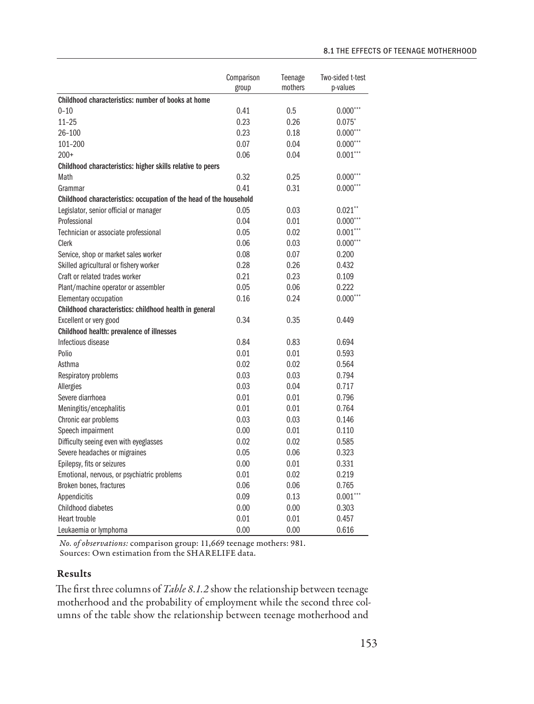|                                                                    | Comparison<br>group | Teenage<br>mothers | Two-sided t-test<br>p-values |
|--------------------------------------------------------------------|---------------------|--------------------|------------------------------|
| Childhood characteristics: number of books at home                 |                     |                    |                              |
| $0 - 10$                                                           | 0.41                | 0.5                | $0.000***$                   |
| $11 - 25$                                                          | 0.23                | 0.26               | $0.075*$                     |
| $26 - 100$                                                         | 0.23                | 0.18               | $0.000***$                   |
| 101-200                                                            | 0.07                | 0.04               | $0.000***$                   |
| $200+$                                                             | 0.06                | 0.04               | $0.001***$                   |
| Childhood characteristics: higher skills relative to peers         |                     |                    |                              |
| Math                                                               | 0.32                | 0.25               | $0.000***$                   |
| Grammar                                                            | 0.41                | 0.31               | $0.000***$                   |
| Childhood characteristics: occupation of the head of the household |                     |                    |                              |
| Legislator, senior official or manager                             | 0.05                | 0.03               | $0.021$ **                   |
| Professional                                                       | 0.04                | 0.01               | $0.000***$                   |
| Technician or associate professional                               | 0.05                | 0.02               | $0.001***$                   |
| Clerk                                                              | 0.06                | 0.03               | $0.000***$                   |
| Service, shop or market sales worker                               | 0.08                | 0.07               | 0.200                        |
| Skilled agricultural or fishery worker                             | 0.28                | 0.26               | 0.432                        |
| Craft or related trades worker                                     | 0.21                | 0.23               | 0.109                        |
| Plant/machine operator or assembler                                | 0.05                | 0.06               | 0.222                        |
| Elementary occupation                                              | 0.16                | 0.24               | $0.000***$                   |
| Childhood characteristics: childhood health in general             |                     |                    |                              |
| Excellent or very good                                             | 0.34                | 0.35               | 0.449                        |
| Childhood health: prevalence of illnesses                          |                     |                    |                              |
| Infectious disease                                                 | 0.84                | 0.83               | 0.694                        |
| Polio                                                              | 0.01                | 0.01               | 0.593                        |
| Asthma                                                             | 0.02                | 0.02               | 0.564                        |
| Respiratory problems                                               | 0.03                | 0.03               | 0.794                        |
| Allergies                                                          | 0.03                | 0.04               | 0.717                        |
| Severe diarrhoea                                                   | 0.01                | 0.01               | 0.796                        |
| Meningitis/encephalitis                                            | 0.01                | 0.01               | 0.764                        |
| Chronic ear problems                                               | 0.03                | 0.03               | 0.146                        |
| Speech impairment                                                  | 0.00                | 0.01               | 0.110                        |
| Difficulty seeing even with eyeglasses                             | 0.02                | 0.02               | 0.585                        |
| Severe headaches or migraines                                      | 0.05                | 0.06               | 0.323                        |
| Epilepsy, fits or seizures                                         | 0.00                | 0.01               | 0.331                        |
| Emotional, nervous, or psychiatric problems                        | 0.01                | 0.02               | 0.219                        |
| Broken bones, fractures                                            | 0.06                | 0.06               | 0.765                        |
| Appendicitis                                                       | 0.09                | 0.13               | $0.001***$                   |
| Childhood diabetes                                                 | 0.00                | 0.00               | 0.303                        |
| <b>Heart trouble</b>                                               | 0.01                | 0.01               | 0.457                        |
| Leukaemia or lymphoma                                              | 0.00                | 0.00               | 0.616                        |

*No. of observations:* comparison group: 11,669 teenage mothers: 981. Sources: Own estimation from the SHARELIFE data.

### Results

The first three columns of *Table 8.1.2* show the relationship between teenage motherhood and the probability of employment while the second three columns of the table show the relationship between teenage motherhood and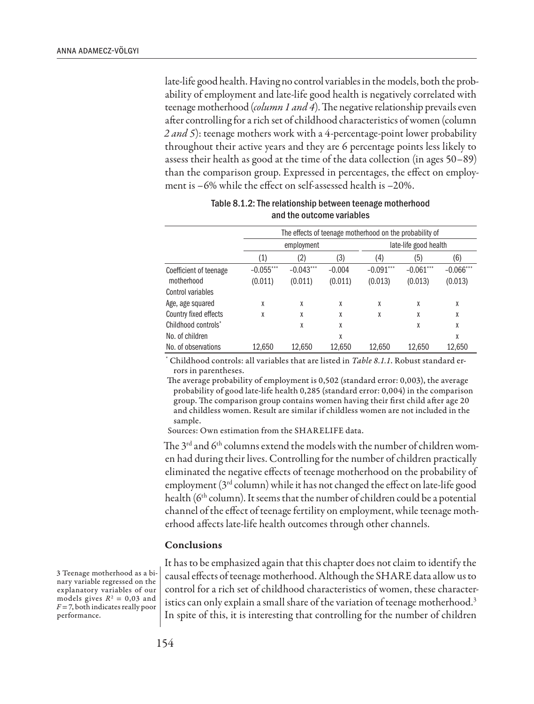late-life good health. Having no control variables in the models, both the probability of employment and late-life good health is negatively correlated with teenage motherhood (*column 1 and 4*). The negative relationship prevails even after controlling for a rich set of childhood characteristics of women (column *2 and 5*): teenage mothers work with a 4-percentage-point lower probability throughout their active years and they are 6 percentage points less likely to assess their health as good at the time of the data collection (in ages 50–89) than the comparison group. Expressed in percentages, the effect on employment is –6% while the effect on self-assessed health is –20%.

|                        | The effects of teenage motherhood on the probability of |             |          |                       |             |              |
|------------------------|---------------------------------------------------------|-------------|----------|-----------------------|-------------|--------------|
|                        | employment                                              |             |          | late-life good health |             |              |
|                        | (1)                                                     | (2)         | (3)      | (4)                   | (5)         | (6)          |
| Coefficient of teenage | $-0.055***$                                             | $-0.043***$ | $-0.004$ | $-0.091$ ***          | $-0.061***$ | $-0.066$ *** |
| motherhood             | (0.011)                                                 | (0.011)     | (0.011)  | (0.013)               | (0.013)     | (0.013)      |
| Control variables      |                                                         |             |          |                       |             |              |
| Age, age squared       | X                                                       | X           | χ        | X                     | X           | χ            |
| Country fixed effects  | X                                                       | X           | χ        | X                     | X           | X            |
| Childhood controls*    |                                                         | X           | Χ        |                       | X           | χ            |
| No. of children        |                                                         |             | χ        |                       |             | χ            |
| No. of observations    | 12,650                                                  | 12,650      | 12,650   | 12,650                | 12,650      | 12,650       |

| Table 8.1.2: The relationship between teenage motherhood |
|----------------------------------------------------------|
| and the outcome variables                                |

\* Childhood controls: all variables that are listed in *Table 8.1.1*. Robust standard errors in parentheses.

The average probability of employment is 0,502 (standard error: 0,003), the average probability of good late-life health 0,285 (standard error: 0,004) in the comparison group. The comparison group contains women having their first child after age 20 and childless women. Result are similar if childless women are not included in the sample.

Sources: Own estimation from the SHARELIFE data.

The 3<sup>rd</sup> and 6<sup>th</sup> columns extend the models with the number of children women had during their lives. Controlling for the number of children practically eliminated the negative effects of teenage motherhood on the probability of employment (3rd column) while it has not changed the effect on late-life good health ( $6<sup>th</sup>$  column). It seems that the number of children could be a potential channel of the effect of teenage fertility on employment, while teenage motherhood affects late-life health outcomes through other channels.

#### Conclusions

3 Teenage motherhood as a binary variable regressed on the explanatory variables of our models gives  $R^2 = 0.03$  and  $F = 7$ , both indicates really poor performance.

It has to be emphasized again that this chapter does not claim to identify the causal effects of teenage motherhood. Although the SHARE data allow us to control for a rich set of childhood characteristics of women, these characteristics can only explain a small share of the variation of teenage motherhood.<sup>3</sup> In spite of this, it is interesting that controlling for the number of children